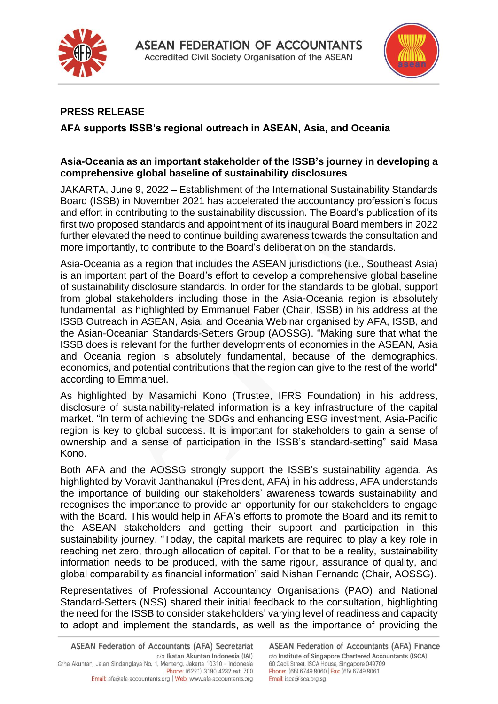



## **PRESS RELEASE**

## **AFA supports ISSB's regional outreach in ASEAN, Asia, and Oceania**

## **Asia-Oceania as an important stakeholder of the ISSB's journey in developing a comprehensive global baseline of sustainability disclosures**

JAKARTA, June 9, 2022 – Establishment of the International Sustainability Standards Board (ISSB) in November 2021 has accelerated the accountancy profession's focus and effort in contributing to the sustainability discussion. The Board's publication of its first two proposed standards and appointment of its inaugural Board members in 2022 further elevated the need to continue building awareness towards the consultation and more importantly, to contribute to the Board's deliberation on the standards.

Asia-Oceania as a region that includes the ASEAN jurisdictions (i.e., Southeast Asia) is an important part of the Board's effort to develop a comprehensive global baseline of sustainability disclosure standards. In order for the standards to be global, support from global stakeholders including those in the Asia-Oceania region is absolutely fundamental, as highlighted by Emmanuel Faber (Chair, ISSB) in his address at the ISSB Outreach in ASEAN, Asia, and Oceania Webinar organised by AFA, ISSB, and the Asian-Oceanian Standards-Setters Group (AOSSG). "Making sure that what the ISSB does is relevant for the further developments of economies in the ASEAN, Asia and Oceania region is absolutely fundamental, because of the demographics, economics, and potential contributions that the region can give to the rest of the world" according to Emmanuel.

As highlighted by Masamichi Kono (Trustee, IFRS Foundation) in his address, disclosure of sustainability-related information is a key infrastructure of the capital market. "In term of achieving the SDGs and enhancing ESG investment, Asia-Pacific region is key to global success. It is important for stakeholders to gain a sense of ownership and a sense of participation in the ISSB's standard-setting" said Masa Kono.

Both AFA and the AOSSG strongly support the ISSB's sustainability agenda. As highlighted by Voravit Janthanakul (President, AFA) in his address, AFA understands the importance of building our stakeholders' awareness towards sustainability and recognises the importance to provide an opportunity for our stakeholders to engage with the Board. This would help in AFA's efforts to promote the Board and its remit to the ASEAN stakeholders and getting their support and participation in this sustainability journey. "Today, the capital markets are required to play a key role in reaching net zero, through allocation of capital. For that to be a reality, sustainability information needs to be produced, with the same rigour, assurance of quality, and global comparability as financial information" said Nishan Fernando (Chair, AOSSG).

Representatives of Professional Accountancy Organisations (PAO) and National Standard-Setters (NSS) shared their initial feedback to the consultation, highlighting the need for the ISSB to consider stakeholders' varying level of readiness and capacity to adopt and implement the standards, as well as the importance of providing the